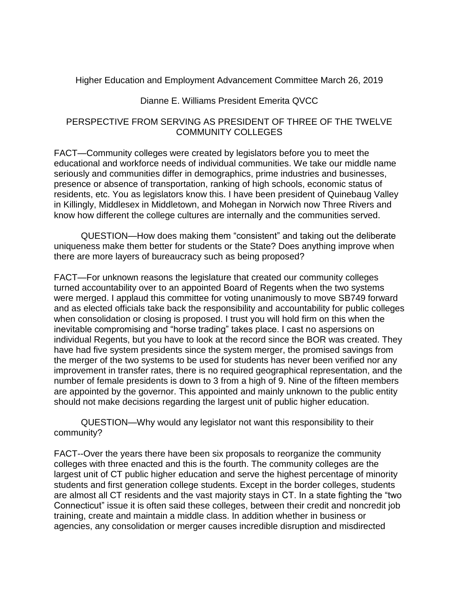Higher Education and Employment Advancement Committee March 26, 2019

## Dianne E. Williams President Emerita QVCC

## PERSPECTIVE FROM SERVING AS PRESIDENT OF THREE OF THE TWELVE COMMUNITY COLLEGES

FACT—Community colleges were created by legislators before you to meet the educational and workforce needs of individual communities. We take our middle name seriously and communities differ in demographics, prime industries and businesses, presence or absence of transportation, ranking of high schools, economic status of residents, etc. You as legislators know this. I have been president of Quinebaug Valley in Killingly, Middlesex in Middletown, and Mohegan in Norwich now Three Rivers and know how different the college cultures are internally and the communities served.

QUESTION—How does making them "consistent" and taking out the deliberate uniqueness make them better for students or the State? Does anything improve when there are more layers of bureaucracy such as being proposed?

FACT—For unknown reasons the legislature that created our community colleges turned accountability over to an appointed Board of Regents when the two systems were merged. I applaud this committee for voting unanimously to move SB749 forward and as elected officials take back the responsibility and accountability for public colleges when consolidation or closing is proposed. I trust you will hold firm on this when the inevitable compromising and "horse trading" takes place. I cast no aspersions on individual Regents, but you have to look at the record since the BOR was created. They have had five system presidents since the system merger, the promised savings from the merger of the two systems to be used for students has never been verified nor any improvement in transfer rates, there is no required geographical representation, and the number of female presidents is down to 3 from a high of 9. Nine of the fifteen members are appointed by the governor. This appointed and mainly unknown to the public entity should not make decisions regarding the largest unit of public higher education.

QUESTION—Why would any legislator not want this responsibility to their community?

FACT--Over the years there have been six proposals to reorganize the community colleges with three enacted and this is the fourth. The community colleges are the largest unit of CT public higher education and serve the highest percentage of minority students and first generation college students. Except in the border colleges, students are almost all CT residents and the vast majority stays in CT. In a state fighting the "two Connecticut" issue it is often said these colleges, between their credit and noncredit job training, create and maintain a middle class. In addition whether in business or agencies, any consolidation or merger causes incredible disruption and misdirected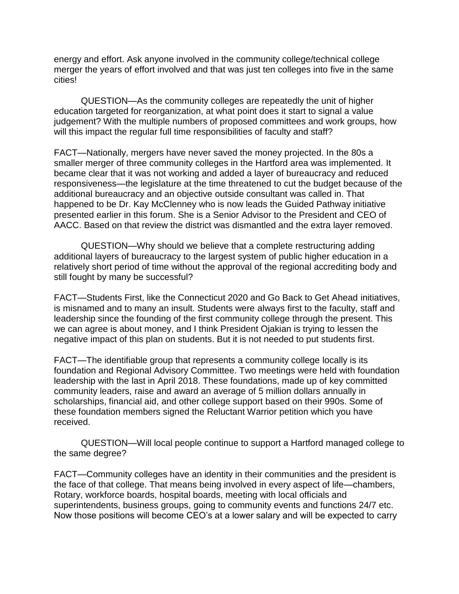energy and effort. Ask anyone involved in the community college/technical college merger the years of effort involved and that was just ten colleges into five in the same cities!

QUESTION—As the community colleges are repeatedly the unit of higher education targeted for reorganization, at what point does it start to signal a value judgement? With the multiple numbers of proposed committees and work groups, how will this impact the regular full time responsibilities of faculty and staff?

FACT—Nationally, mergers have never saved the money projected. In the 80s a smaller merger of three community colleges in the Hartford area was implemented. It became clear that it was not working and added a layer of bureaucracy and reduced responsiveness—the legislature at the time threatened to cut the budget because of the additional bureaucracy and an objective outside consultant was called in. That happened to be Dr. Kay McClenney who is now leads the Guided Pathway initiative presented earlier in this forum. She is a Senior Advisor to the President and CEO of AACC. Based on that review the district was dismantled and the extra layer removed.

QUESTION—Why should we believe that a complete restructuring adding additional layers of bureaucracy to the largest system of public higher education in a relatively short period of time without the approval of the regional accrediting body and still fought by many be successful?

FACT—Students First, like the Connecticut 2020 and Go Back to Get Ahead initiatives, is misnamed and to many an insult. Students were always first to the faculty, staff and leadership since the founding of the first community college through the present. This we can agree is about money, and I think President Ojakian is trying to lessen the negative impact of this plan on students. But it is not needed to put students first.

FACT—The identifiable group that represents a community college locally is its foundation and Regional Advisory Committee. Two meetings were held with foundation leadership with the last in April 2018. These foundations, made up of key committed community leaders, raise and award an average of 5 million dollars annually in scholarships, financial aid, and other college support based on their 990s. Some of these foundation members signed the Reluctant Warrior petition which you have received.

QUESTION—Will local people continue to support a Hartford managed college to the same degree?

FACT—Community colleges have an identity in their communities and the president is the face of that college. That means being involved in every aspect of life—chambers, Rotary, workforce boards, hospital boards, meeting with local officials and superintendents, business groups, going to community events and functions 24/7 etc. Now those positions will become CEO's at a lower salary and will be expected to carry